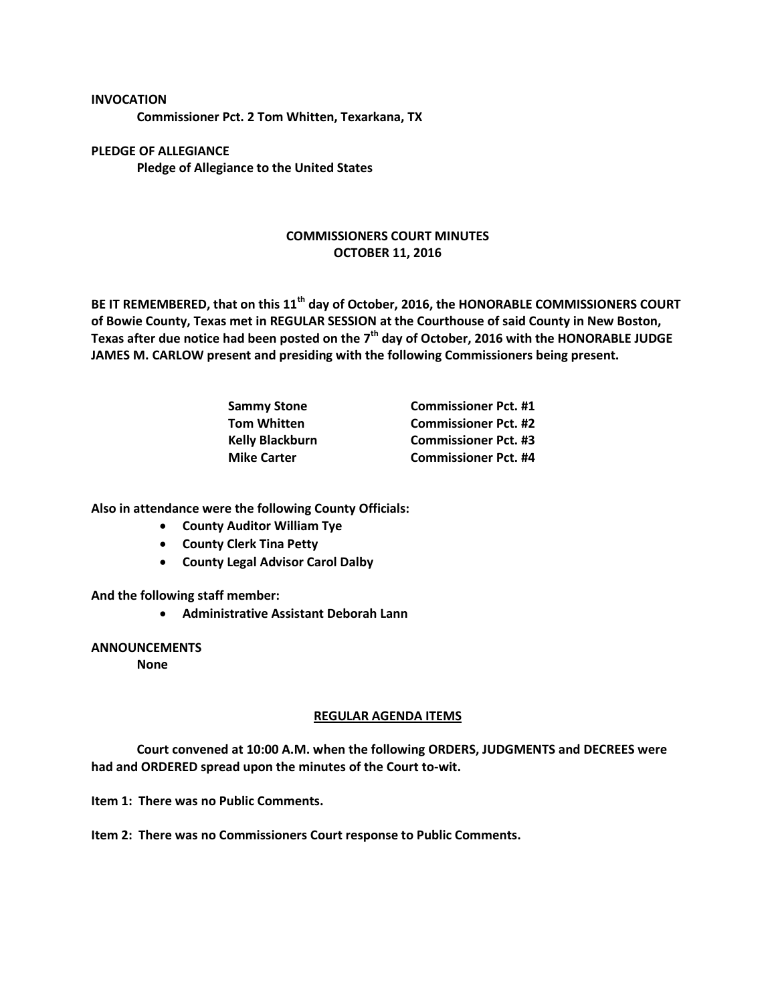**Commissioner Pct. 2 Tom Whitten, Texarkana, TX**

**PLEDGE OF ALLEGIANCE Pledge of Allegiance to the United States**

**INVOCATION**

## **COMMISSIONERS COURT MINUTES OCTOBER 11, 2016**

**BE IT REMEMBERED, that on this 11th day of October, 2016, the HONORABLE COMMISSIONERS COURT of Bowie County, Texas met in REGULAR SESSION at the Courthouse of said County in New Boston, Texas after due notice had been posted on the 7th day of October, 2016 with the HONORABLE JUDGE JAMES M. CARLOW present and presiding with the following Commissioners being present.**

| <b>Sammy Stone</b>     | <b>Commissioner Pct. #1</b> |
|------------------------|-----------------------------|
| <b>Tom Whitten</b>     | <b>Commissioner Pct. #2</b> |
| <b>Kelly Blackburn</b> | <b>Commissioner Pct. #3</b> |
| <b>Mike Carter</b>     | <b>Commissioner Pct. #4</b> |

**Also in attendance were the following County Officials:**

- **County Auditor William Tye**
- **County Clerk Tina Petty**
- **County Legal Advisor Carol Dalby**

**And the following staff member:**

**Administrative Assistant Deborah Lann**

## **ANNOUNCEMENTS**

**None**

## **REGULAR AGENDA ITEMS**

**Court convened at 10:00 A.M. when the following ORDERS, JUDGMENTS and DECREES were had and ORDERED spread upon the minutes of the Court to-wit.**

**Item 1: There was no Public Comments.**

**Item 2: There was no Commissioners Court response to Public Comments.**